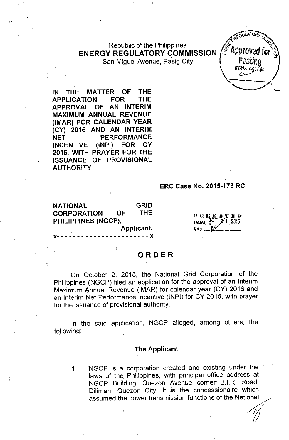# Republic of the Philippines **ENERGY REGULATORY COMMISSION** San Miguel Avenue, Pasig City

mmar.gov.oh

**IN THE MATTER OF THE APPLICATION,' FOR THE APPROVAL OF AN INTERIM MAXIMUM ANNUAL REVENUE (iMAR) FOR CALENDAR YEAR (CY) 2016 AND AN INTERIM NET PERFORMANCE INCENTIVE (iNPI) FOR CY 2015, WITH PRAYER FOR THE ISSUANCE OF PROVISIONAL AUTHORITY**

, ,

#### **ERC Case No. 2015-173 RC**

**NATIONAL GRID CORPORATION OF THE PHILIPPINES (NGCP),**

 $D$  Q  $C$  I IT B D Date:

# **ORDER**

**Applicant. x- - - - - - - - - - - - - - - - - - - - - - -** x

On October 2, 2015, the National Grid Corporation of the Philippines (NGCP) filed an application for the approval of an Interim Maximum Annual Revenue (iMAR) for calendar year (CY) 2016 and an Interim Net Performance Incentive (iNPI) for CY 2015, with prayer for the issuance of provisional authority.

In the said application, NGCP alleged, among others, the following:

# **The Applicant**

1. NGCP is a corporation created and existing under the laws of the, Philippines, with principal office address at NGCP Building, Quezon Avenue corner B.I.R. Road, Diliman, Quezon City. It is the concessionaire which assumed the power transmission functions of the Nati ,  $\begin{bmatrix} 1 & 1 & 1 \\ 1 & 1 & 1 \\ 1 & 1 & 1 \\ 1 & 1 & 1 \\ 1 & 1 & 1 \\ 1 & 1 & 1 \\ 1 & 1 & 1 \\ 1 & 1 & 1 \\ 1 & 1 & 1 \\ 1 & 1 & 1 \\ 1 & 1 & 1 \\ 1 & 1 & 1 \\ 1 & 1 & 1 \\ 1 & 1 & 1 \\ 1 & 1 & 1 \\ 1 & 1 & 1 \\ 1 & 1 & 1 \\ 1 & 1 & 1 \\ 1 & 1 & 1 \\ 1 & 1 & 1 \\ 1 & 1 & 1 \\ 1 & 1 & 1 \\ 1 & 1 & 1 \\ 1 & 1 &$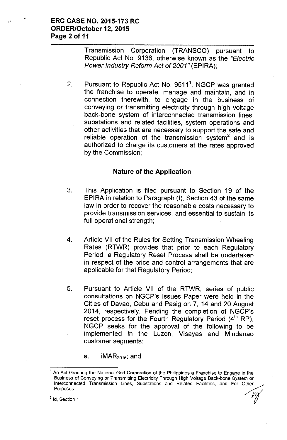# ERC CASE NO. 2015-173 RC ORDER/October 12, 2015 Page 2 of 11

Transmission Corporation (TRANSCO) pursuant to Republic Act No. 9136, otherwise known as the *"Electric Power Industry Reform Act* of *2001"* (EPIRA);

2. Pursuant to Republic Act No.  $9511<sup>1</sup>$ , NGCP was granted the franchise to operate, manage and maintain, and in connection therewith, to engage in the business of conveying or transmitting electricity through high voltage back-bone system of interconnected transmission lines, substations and related facilities, system operations and other activities that are necessary to support the safe and reliable operation of the transmission system<sup>2</sup> and is authorized to charge its customers at the rates approved by the Commission;

# Nature of the Application

- 3. This Application is filed pursuant to Section 19 of the EPIRA in relation to Paragraph (f), Section 43 of the same law in order to recover the reasonable costs necessary to provide transmission services, and essential to sustain its full operational strength;
- 4. Article VII of the Rules for Setting Transmission Wheeling Rates (RTWR) provides that prior to each Regulatory Period, a Regulatory Reset Process shall be undertaken in respect of the price and control arrangements that are applicable for that Regulatory Period;
- 5. Pursuant to Article VII of the RTWR, series of public consultations on NGCP's Issues Paper were held in the Cities of Davao, Cebu and Pasig on 7, 14 and 20 August 2014, respectively. Pending the completion of NGCP's reset process for the Fourth Regulatory Period  $(4<sup>th</sup>RP)$ . NGCP seeks for the approval of the following to be implemented in the Luzon, Visayas and Mindanao customer segments:

a.  $iMAR<sub>2016</sub>$ ; and

 $<sup>2</sup>$  Id, Section 1</sup>

<sup>1</sup> An Act Granting the National Grid Corporation of the Philippines a Franchise to Engage in the Business of Conveying or Transmitting Electricity Through High Voitage Back-bone System or Interconnected Transmission Lines, Substations and Related Facilities, and For Other<br>Purposes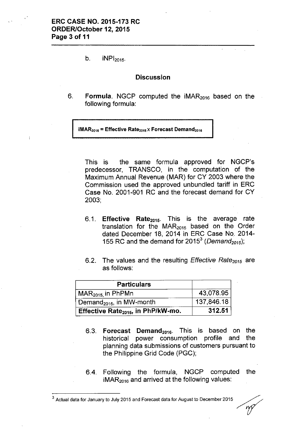b.  $iNPI_{2015}$ .

#### **Discussion**

6. **Formula.** NGCP computed the iMAR<sub>2016</sub> based on the following formula:

#### $iMAR<sub>2016</sub>$  = Effective Rate<sub>2015</sub> x Forecast Demand<sub>2016</sub>

This is the same formula approved for NGCP's predecessor, TRANSCO, in the computation of the Maximum Annual Revenue (MAR) for CY 2003 where the Commission used the approved unbundled tariff in ERC Case No. 2001-901 RC and the forecast demand for CY 2003;

- 6.1. **Effective Rate<sub>2015</sub>.** This is the average rate translation for the  $MAR<sub>2015</sub>$  based on the Order dated December 18, 2014 in ERC Case No. 2014- 155 RC and the demand for 2015<sup>3</sup> (*Demand<sub>2015</sub>*)
- 6.2. The values and the resulting *Effective Rate<sub>2015</sub>* are as follows:

| <b>Particulars</b>                             |            |
|------------------------------------------------|------------|
| $\vert$ MAR $_{2015}$ in PhPMn                 | 43,078.95  |
| Demand <sub>2015</sub> , in MW-month           | 137,846.18 |
| Effective Rate <sub>2015</sub> , in PhP/kW-mo. | 312.51     |

- 6.3. **Forecast Demand**<sub>2016</sub>. This is based on the historical power consumption profile and the planning data submissions of customers pursuant to the Philippine Grid Code (PGC);
- 6.4. Following the formula, NGCP computed the  $IMAR<sub>2016</sub>$  and arrived at the following values:

 $3$  Actual data for January to July 2015 and Forecast data for August to December 2015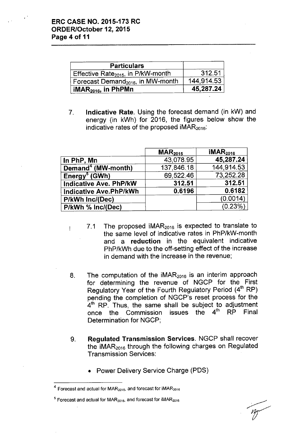$\mathbf{I}$ 

| <b>Particulars</b>                             |            |
|------------------------------------------------|------------|
| Effective Rate <sub>2015</sub> , in P/kW-month | 312.51     |
| Forecast Demand <sub>2016</sub> , in MW-month  | 144,914.53 |
| iMAR $_{2016}$ , in PhPMn                      | 45,287.24  |

7. **Indicative** Rate. Using the forecast demand (in kW) and energy (in kWh) for 2016, the figures below show the indicative rates of the proposed  $IMAR<sub>2016</sub>$ :

|                                | $\textsf{MAR}_{2015}$ | IMAR <sub>2016</sub> |
|--------------------------------|-----------------------|----------------------|
| In PhP, Mn                     | 43,078.95             | 45,287.24            |
| Demand <sup>4</sup> (MW-month) | 137,846.18            | 144.914.53           |
| Energy <sup>5</sup> (GWh)      | 69,522.46             | 73.252.28            |
| <b>Indicative Ave. PhP/kW</b>  | 312.51                | 312.51               |
| <b>Indicative Ave.PhP/kWh</b>  | 0.6196                | 0.6182               |
| P/kWh Inc/(Dec)                |                       | (0.0014)             |
| P/kWh % Inc/(Dec)              |                       | (0.23%)              |

- 7.1 The proposed  $IMAR<sub>2016</sub>$  is expected to translate to the same level of indicative rates in PhP/kW-month and a **reduction** in the equivalent indicative PhP/kWh due to the off-setting effect of the increase in demand with the increase in the revenue;
- 8. The computation of the  $IMAR<sub>2016</sub>$  is an interim approach for determining the revenue of NGCP for the First Regulatory Year of the Fourth Regulatory Period (4<sup>th</sup> RP) pending the completion of NGCP's reset process for the  $4<sup>th</sup>$  RP. Thus, the same shall be subject to adjustmen once the Commission issues the  $4<sup>th</sup>$  RP Final Determination for NGCP;
- 9. **Regulated Transmission** Services. NGCP shall recover the  $IMAR<sub>2016</sub>$  through the following charges on Regulated Transmission Services:
	- Power Delivery Service Charge (PDS)

 $4$  Forecast and actual for MAR<sub>2015</sub>, and forecast for iMAR<sub>2016</sub>

 $<sup>5</sup>$  Forecast and actual for MAR<sub>2015</sub>, and forecast for iMAR<sub>2016</sub></sup>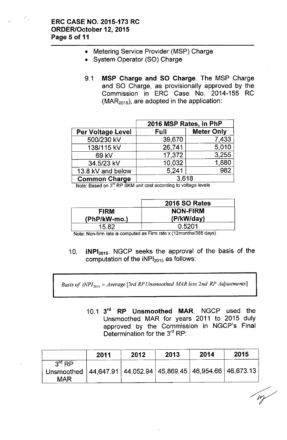- Metering Service Provider (MSP) Charge
- System Operator (SO) Charge
- 9.1 MSP Charge and SO Charge. The MSP Charge and SO Charge, as provisionally approved by the Commission in ERC Case No. 2014-155 RC  $(MAR<sub>2015</sub>)$ , are adopted in the application:

|                          | 2016 MSP Rates, in PhP |                   |  |  |
|--------------------------|------------------------|-------------------|--|--|
| <b>Per Voltage Level</b> | Full                   | <b>Meter Only</b> |  |  |
| 500/230 kV               | 39,670                 | 7,433             |  |  |
| 138/115 kV               | 26,741                 | 5,010             |  |  |
| 69 kV                    | 17,372                 | 3,255             |  |  |
| 34.5/23 kV               | 10,032                 | 1,880             |  |  |
| 13.8 kV and below        | 5,241                  | 982               |  |  |
| <b>Common Charge</b>     | 3.618                  |                   |  |  |

Note: Based on 3<sup>rd</sup> RP SKM unit cost according to voltage levels

|                | <b>2016 SO Rates</b> |
|----------------|----------------------|
| <b>FIRM</b>    | <b>NON-FIRM</b>      |
| $(PhP/kW-mo.)$ | (P/kW/day)           |
| 15.82          | 0.5201               |

Note: Non-firm rate is computed as Firm rate x (12months/365 days)

10. iNP12015. NGCP seeks the approval of the basis of the computation of the  $NPI<sub>2015</sub>$  as follows:

*Basis of iNPI,015* = *Average [3rd RP Unsmoothed MAR less 2nd RP Adjustments]*

10.1 3<sup>rd</sup> RP Unsmoothed MAR. NGCP used the Unsmoothed MAR for years 2011 to 2015 duly approved by the Commission in NGCP's Final Determination for the 3<sup>rd</sup> RP:

|                                                                                                  | 2011 | 2012 | 2013 | 2014 | 2015 |
|--------------------------------------------------------------------------------------------------|------|------|------|------|------|
| $3rd$ RP<br>Unsmoothed   44,647.91   44,052.94   45,869.45   46,954.66   46,673.13<br><b>MAR</b> |      |      |      |      |      |

 $\mathbb{Z}$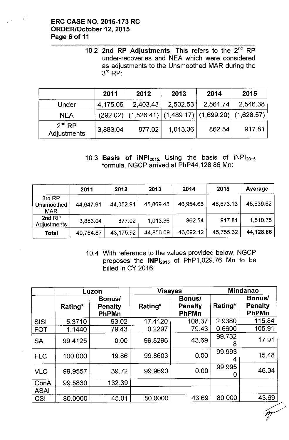# ERC CASE NO. 2015-173 RC ORDER/October 12,2015 Page 6 of 11

 $\sim 10^{-3}$ 

10.2 2nd RP Adjustments. This refers to the 2 $^{\sf{nd}}$  RP under-recoveries and NEA which were considered as adjustments to the Unsmoothed MAR during the  $3^{\mathsf{rd}}$  RP:

|                                   | 2011     | 2012     | 2013                                                           | 2014     | 2015     |
|-----------------------------------|----------|----------|----------------------------------------------------------------|----------|----------|
| Under                             | 4,175.06 | 2.403.43 | 2,502.53                                                       | 2,561.74 | 2,546.38 |
| <b>NEA</b>                        |          |          | $(292.02)$ $(1,526.41)$ $(1,489.17)$ $(1,699.20)$ $(1,628.57)$ |          |          |
| 2 <sup>nd</sup> RP<br>Adjustments | 3,883.04 | 877.02   | 1,013.36                                                       | 862.54   | 917.81   |

10.3 Basis of  $iNPI<sub>2015</sub>$ . Using the basis of  $iNPI<sub>2015</sub>$ formula, NGCP arrived at PhP44, 128.86 Mn:

|                                    | 2011      | 2012      | 2013      | 2014      | 2015      | Average   |
|------------------------------------|-----------|-----------|-----------|-----------|-----------|-----------|
| 3rd RP<br>Unsmoothed<br><b>MAR</b> | 44,647.91 | 44,052.94 | 45,869.45 | 46,954.66 | 46,673.13 | 45,639.62 |
| 2nd RP<br>Adjustments              | 3,883.04  | 877.02    | 1,013.36  | 862.54    | 917.81    | 1,510.75  |
| <b>Total</b>                       | 40,764.87 | 43,175.92 | 44,856.09 | 46,092.12 | 45,755.32 | 44,128.86 |

10.4 With reference to the values provided below, NGCP proposes the  $iNPI<sub>2015</sub>$  of PhP1,029.76 Mn to be billed in CY 2016:

|             | Luzon   |                                          | <b>Visayas</b> |                                          | <b>Mindanao</b> |                                          |
|-------------|---------|------------------------------------------|----------------|------------------------------------------|-----------------|------------------------------------------|
|             | Rating* | Bonus/<br><b>Penalty</b><br><b>PhPMn</b> | Rating*        | Bonus/<br><b>Penalty</b><br><b>PhPMn</b> | Rating*         | Bonus/<br><b>Penalty</b><br><b>PhPMn</b> |
| <b>SISI</b> | 5.3710  | 93.02                                    | 17.4120        | 108.37                                   | 2.9380          | 115.84                                   |
| <b>FOT</b>  | 1.1440  | 79.43                                    | 0.2297         | 79.43                                    | 0.6600          | 105.91                                   |
| <b>SA</b>   | 99.4125 | 0.00                                     | 99.8296        | 43.69                                    | 99.732<br>8     | 17.91                                    |
| <b>FLC</b>  | 100.000 | 19.86                                    | 99.8603        | 0.00                                     | 99.993<br>4     | 15.48                                    |
| <b>VLC</b>  | 99.9557 | 39.72                                    | 99.9690        | 0.00                                     | 99.995          | 46.34                                    |
| ConA        | 99.5830 | 132.39                                   |                |                                          |                 |                                          |
| <b>ASAI</b> |         |                                          |                |                                          |                 |                                          |
| <b>CSI</b>  | 80.0000 | 45.01                                    | 80.0000        | 43.69                                    | 80.000          | 43.69                                    |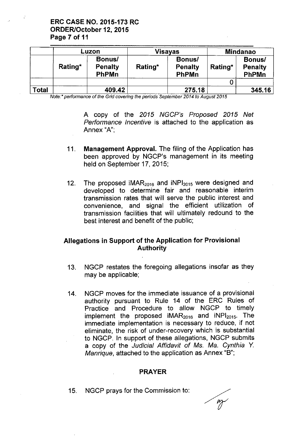ERC CASE NO. 2015-173 RC ORDER/October 12, 2015 Page 7 of 11

|       | Luzon                                               |        | Visayas                                      |        | <b>Mindanao</b>                                     |        |
|-------|-----------------------------------------------------|--------|----------------------------------------------|--------|-----------------------------------------------------|--------|
|       | Bonus/<br>Rating*<br><b>Penalty</b><br><b>PhPMn</b> |        | Bonus/<br>Rating*<br><b>Penalty</b><br>PhPMn |        | Bonus/<br>Rating*<br><b>Penalty</b><br><b>PhPMn</b> |        |
|       |                                                     |        |                                              |        |                                                     |        |
| Total |                                                     | 409.42 |                                              | 275.18 |                                                     | 345.16 |

*Note:\* performance of the Grid covering the periods September 2014 to August 2015* 

A copy of the *2015 NGCP's Proposed 2015 Net Performance Incentive* is attached to the application as Annex "A";

- 11. Management Approval. The filing of the Application has been approved by NGCP's management in its meeting held on September 17, 2015;
- 12. The proposed  $IMAR<sub>2016</sub>$  and  $INPI<sub>2015</sub>$  were designed and developed to determine fair and reasonable interim transmission rates that will serve the public interest and convenience, and signal the efficient utilization of transmission facilities that will ultimately redound to the best interest and benefit of the public;

# Allegations in Support of the Application for Provisional Authority

- 13. NGCP restates the foregoing allegations insofar as they may be applicable;
- 14. NGCP moves for the immediate issuance of a provisional authority pursuant to Rule 14 of the ERC Rules of Practice and Procedure to allow NGCP to timely implement the proposed  $IMAR<sub>2016</sub>$  and  $INPI<sub>2015</sub>$ . The immediate implementation is necessary to reduce, if not eliminate, the risk of under-recovery which is substantial to NGCP. In support of these allegations, NGCP submits a copy of the *Judicial Affidavit* of *Ms. Ma. Cynthia* Y. *Manrique,* attached to the application as Annex "8";

#### PRAYER

15. NGCP prays for the Commission to: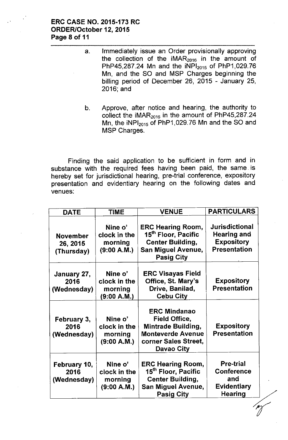# ERC CASE NO. 2015-173 RC ORDER/October 12, 2015 Page 8 of 11

- a. Immediately issue an Order provisionally approving the collection of the  $IMAR<sub>2016</sub>$  in the amount of PhP45,287.24 Mn and the  $iNPl_{2015}$  of PhP1,029.76 Mn, and the SO and MSP Charges beginning the billing period of December 26, 2015 - January 25, 2016; and
- b. Approve, after notice and hearing, the authority to collect the  $IMAR<sub>2016</sub>$  in the amount of PhP45,287.24 Mn, the  $iNPI<sub>2015</sub>$  of PhP1,029.76 Mn and the SO and MSP Charges.

Finding the said application to be sufficient in form and in substance with the required fees having been paid, the same. is hereby set for jurisdictional hearing, pre-trial conference, expository presentation and evidentiary hearing on the following dates and venues:

| <b>DATE</b>                               | <b>TIME</b>                                       | <b>VENUE</b>                                                                                                                               | <b>PARTICULARS</b>                                                                      |
|-------------------------------------------|---------------------------------------------------|--------------------------------------------------------------------------------------------------------------------------------------------|-----------------------------------------------------------------------------------------|
| <b>November</b><br>26, 2015<br>(Thursday) | Nine o'<br>clock in the<br>morning<br>(9:00 A.M.) | <b>ERC Hearing Room,</b><br>15 <sup>th</sup> Floor, Pacific<br><b>Center Building,</b><br><b>San Miguel Avenue,</b><br><b>Pasig City</b>   | <b>Jurisdictional</b><br><b>Hearing and</b><br><b>Expository</b><br><b>Presentation</b> |
| January 27,<br>2016<br>(Wednesday)        | Nine o'<br>clock in the<br>morning<br>(9:00 A.M.) | <b>ERC Visayas Field</b><br>Office, St. Mary's<br>Drive, Banilad,<br><b>Cebu City</b>                                                      | Expository<br><b>Presentation</b>                                                       |
| February 3,<br>2016<br>(Wednesday)        | Nine o'<br>clock in the<br>morning<br>(9:00 A.M.) | <b>ERC Mindanao</b><br><b>Field Office,</b><br><b>Mintrade Building,</b><br><b>Monteverde Avenue</b><br>corner Sales Street,<br>Davao City | <b>Expository</b><br><b>Presentation</b>                                                |
| February 10,<br>2016<br>(Wednesday)       | Nine o'<br>clock in the<br>morning<br>(9:00 A.M.) | <b>ERC Hearing Room,</b><br>15 <sup>th</sup> Floor, Pacific<br><b>Center Building,</b><br><b>San Miguel Avenue,</b><br><b>Pasig City</b>   | <b>Pre-trial</b><br><b>Conference</b><br>and<br><b>Evidentiary</b><br>Hearing           |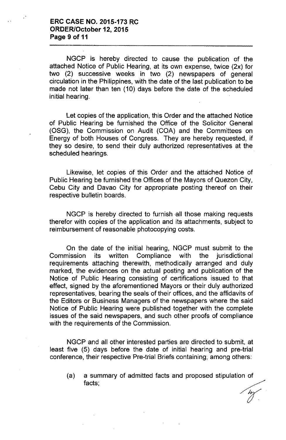NGCP is hereby directed to cause the publication of the attached Notice of Public Hearing, at its own expense, twice (2x) for two (2) successive weeks in two (2) newspapers of general circulation in the Philippines, with the date of the last publication to be made not later than ten (10) days before the date of the scheduled initial hearing.

Let copies of the application, this Order and the attached Notice of Public Hearing be furnished the Office of the Solicitor General (OSG), the Commission on Audit (COA) and the Committees on Energy of both Houses of Congress. They are hereby requested, if they so desire, to send their duly authorized representatives at the scheduled hearings.

Likewise, let copies of this Order and the attached Notice of Public Hearing be furnished the Offices of the Mayors of Quezon City, Cebu City and Davao City for appropriate posting thereof on their respective bulletin boards.

NGCP is hereby directed to furnish all those making requests therefor with copies of the application and its attachments, subject to reimbursement of reasonable photocopying costs.

On the date of the initial hearing, NGCP must submit to the Commission its written Compliance with the jurisdictional requirements attaching therewith, methodically arranged and duly marked, the evidences on the actual posting and publication of the Notice of Public Hearing consisting of certifications issued to that effect, signed by the aforementioned Mayors or their duly authorized representatives, bearing the seals of their offices, and the affidavits of the Editors or Business Managers of the newspapers where the said Notice of Public Hearing were published together with the complete issues of the said newspapers, and such other proofs of compliance with the requirements of the Commission.

NGCP and all other interested parties are directed to submit, at least five (5) days before the date of initial hearing and pre-trial conference, their respective Pre-trial Briefs containing; among others:

(a) a summary of admitted facts and proposed stipulation of their respective Pre-trial Briets containing; among others:<br>a summary of admitted facts and proposed stipulation of<br>facts;

 $\frac{dy}{dt}$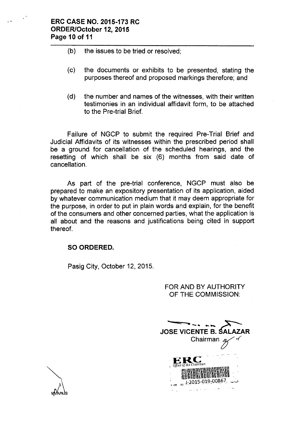- (b) the issues to be tried or resolved;
- (c) the documents or exhibits to be presented, stating the purposes thereof and proposed markings therefore; and
- (d) the number and names of the witnesses, with their written testimonies in an individual affidavit form, to be attached to the Pre-trial Brief.

Failure of NGCP to submit the required Pre-Trial Brief and Judicial Affidavits of its witnesses within the prescribed period shall be a ground for cancellation of the scheduled hearings, and the resetting of which shall be six (6) months from said date of cancellation.

As part of the pre-trial conference, NGCP must also be prepared to make an expository presentation of its application, aided by whatever communication medium that it may deem appropriate for the purpose, in order to put in plain words and explain, for the benefit of the consumers and other concerned parties, what the application is all about and the reasons and justifications being cited in support thereof.

# **SO ORDERED.**

Pasig City, October 12, 2015.

## FOR AND BY AUTHORITY OF THE COMMISSION:

**JOSE VICENTE B. SAL** Chairman J-2015-019-00867